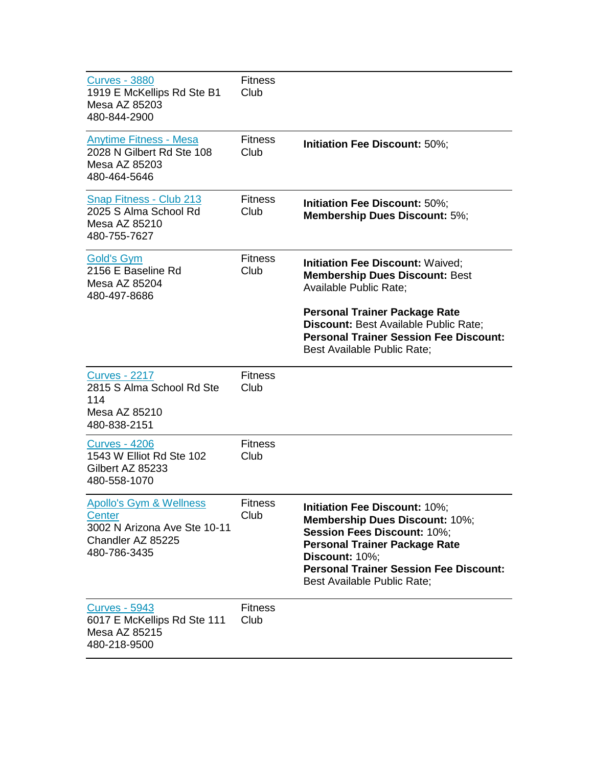| <u>Curves - 3880</u><br>1919 E McKellips Rd Ste B1<br>Mesa AZ 85203<br>480-844-2900                                      | <b>Fitness</b><br>Club |                                                                                                                                                                                                                                                        |
|--------------------------------------------------------------------------------------------------------------------------|------------------------|--------------------------------------------------------------------------------------------------------------------------------------------------------------------------------------------------------------------------------------------------------|
| <b>Anytime Fitness - Mesa</b><br>2028 N Gilbert Rd Ste 108<br>Mesa AZ 85203<br>480-464-5646                              | <b>Fitness</b><br>Club | Initiation Fee Discount: 50%;                                                                                                                                                                                                                          |
| Snap Fitness - Club 213<br>2025 S Alma School Rd<br>Mesa AZ 85210<br>480-755-7627                                        | <b>Fitness</b><br>Club | Initiation Fee Discount: 50%;<br><b>Membership Dues Discount: 5%;</b>                                                                                                                                                                                  |
| <b>Gold's Gym</b><br>2156 E Baseline Rd<br>Mesa AZ 85204<br>480-497-8686                                                 | <b>Fitness</b><br>Club | <b>Initiation Fee Discount: Waived;</b><br><b>Membership Dues Discount: Best</b><br><b>Available Public Rate;</b><br><b>Personal Trainer Package Rate</b><br>Discount: Best Available Public Rate;<br><b>Personal Trainer Session Fee Discount:</b>    |
|                                                                                                                          |                        | Best Available Public Rate;                                                                                                                                                                                                                            |
| <b>Curves - 2217</b><br>2815 S Alma School Rd Ste<br>114<br>Mesa AZ 85210<br>480-838-2151                                | <b>Fitness</b><br>Club |                                                                                                                                                                                                                                                        |
| <u>Curves - 4206</u><br>1543 W Elliot Rd Ste 102<br>Gilbert AZ 85233<br>480-558-1070                                     | <b>Fitness</b><br>Club |                                                                                                                                                                                                                                                        |
| <b>Apollo's Gym &amp; Wellness</b><br><b>Center</b><br>3002 N Arizona Ave Ste 10-11<br>Chandler AZ 85225<br>480-786-3435 | <b>Fitness</b><br>Club | Initiation Fee Discount: 10%;<br>Membership Dues Discount: 10%;<br><b>Session Fees Discount: 10%;</b><br><b>Personal Trainer Package Rate</b><br>Discount: 10%;<br><b>Personal Trainer Session Fee Discount:</b><br><b>Best Available Public Rate:</b> |
| <b>Curves - 5943</b><br>6017 E McKellips Rd Ste 111<br>Mesa AZ 85215<br>480-218-9500                                     | <b>Fitness</b><br>Club |                                                                                                                                                                                                                                                        |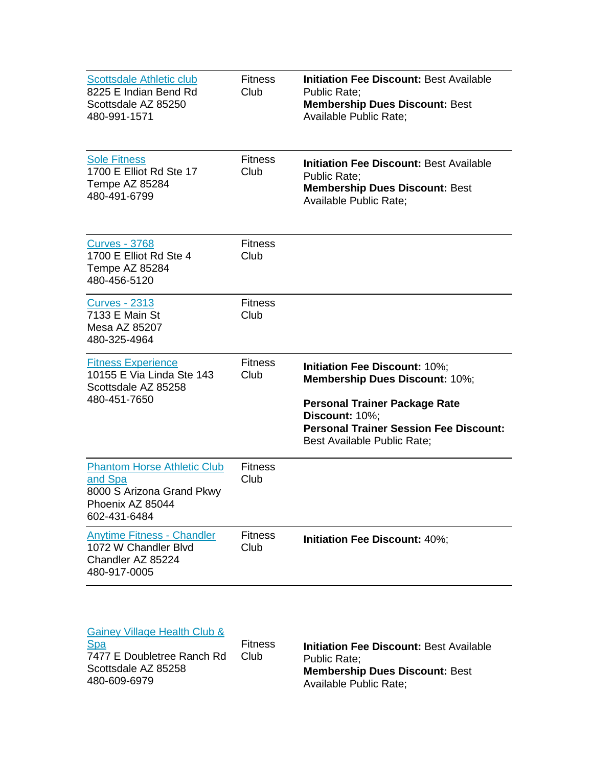| <b>Scottsdale Athletic club</b><br>8225 E Indian Bend Rd<br>Scottsdale AZ 85250<br>480-991-1571                | <b>Fitness</b><br>Club | <b>Initiation Fee Discount: Best Available</b><br><b>Public Rate:</b><br><b>Membership Dues Discount: Best</b><br><b>Available Public Rate;</b>                                                                  |
|----------------------------------------------------------------------------------------------------------------|------------------------|------------------------------------------------------------------------------------------------------------------------------------------------------------------------------------------------------------------|
| <b>Sole Fitness</b><br>1700 E Elliot Rd Ste 17<br>Tempe AZ 85284<br>480-491-6799                               | <b>Fitness</b><br>Club | <b>Initiation Fee Discount: Best Available</b><br><b>Public Rate:</b><br><b>Membership Dues Discount: Best</b><br><b>Available Public Rate;</b>                                                                  |
| <b>Curves - 3768</b><br>1700 E Elliot Rd Ste 4<br>Tempe AZ 85284<br>480-456-5120                               | <b>Fitness</b><br>Club |                                                                                                                                                                                                                  |
| <b>Curves - 2313</b><br>7133 E Main St<br>Mesa AZ 85207<br>480-325-4964                                        | <b>Fitness</b><br>Club |                                                                                                                                                                                                                  |
| <b>Fitness Experience</b><br>10155 E Via Linda Ste 143<br>Scottsdale AZ 85258<br>480-451-7650                  | <b>Fitness</b><br>Club | Initiation Fee Discount: 10%;<br><b>Membership Dues Discount: 10%;</b><br><b>Personal Trainer Package Rate</b><br>Discount: 10%;<br><b>Personal Trainer Session Fee Discount:</b><br>Best Available Public Rate; |
| <b>Phantom Horse Athletic Club</b><br>and Spa<br>8000 S Arizona Grand Pkwy<br>Phoenix AZ 85044<br>602-431-6484 | <b>Fitness</b><br>Club |                                                                                                                                                                                                                  |
| <b>Anytime Fitness - Chandler</b><br>1072 W Chandler Blvd<br>Chandler AZ 85224<br>480-917-0005                 | <b>Fitness</b><br>Club | Initiation Fee Discount: 40%;                                                                                                                                                                                    |

| Gainey Village Health Club &<br><b>Spa</b><br>7477 E Doubletree Ranch Rd<br>Scottsdale AZ 85258<br>480-609-6979 | <b>Fitness</b><br>Club | <b>Initiation Fee Discount: Best Availa</b><br><b>Public Rate:</b><br><b>Membership Dues Discount: Best</b> |
|-----------------------------------------------------------------------------------------------------------------|------------------------|-------------------------------------------------------------------------------------------------------------|
|                                                                                                                 |                        | Available Public Rate;                                                                                      |

**Available**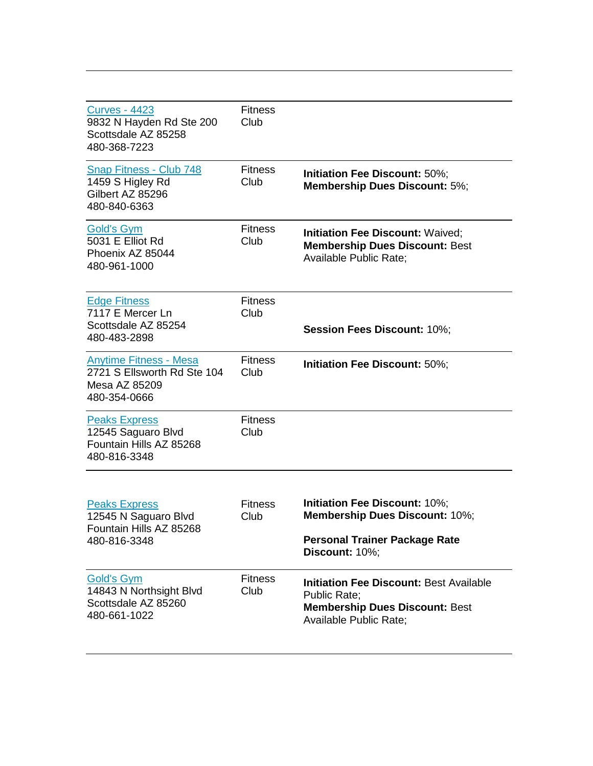| <b>Curves - 4423</b><br>9832 N Hayden Rd Ste 200<br>Scottsdale AZ 85258<br>480-368-7223       | <b>Fitness</b><br>Club |                                                                                                                                                 |
|-----------------------------------------------------------------------------------------------|------------------------|-------------------------------------------------------------------------------------------------------------------------------------------------|
| Snap Fitness - Club 748<br>1459 S Higley Rd<br>Gilbert AZ 85296<br>480-840-6363               | <b>Fitness</b><br>Club | Initiation Fee Discount: 50%;<br><b>Membership Dues Discount: 5%;</b>                                                                           |
| <b>Gold's Gym</b><br>5031 E Elliot Rd<br>Phoenix AZ 85044<br>480-961-1000                     | <b>Fitness</b><br>Club | <b>Initiation Fee Discount: Waived:</b><br><b>Membership Dues Discount: Best</b><br>Available Public Rate;                                      |
| <b>Edge Fitness</b><br>7117 E Mercer Ln<br>Scottsdale AZ 85254<br>480-483-2898                | <b>Fitness</b><br>Club | <b>Session Fees Discount: 10%;</b>                                                                                                              |
| <b>Anytime Fitness - Mesa</b><br>2721 S Ellsworth Rd Ste 104<br>Mesa AZ 85209<br>480-354-0666 | <b>Fitness</b><br>Club | Initiation Fee Discount: 50%;                                                                                                                   |
| <b>Peaks Express</b><br>12545 Saguaro Blvd<br>Fountain Hills AZ 85268<br>480-816-3348         | <b>Fitness</b><br>Club |                                                                                                                                                 |
| <b>Peaks Express</b><br>12545 N Saguaro Blvd<br>Fountain Hills AZ 85268<br>480-816-3348       | <b>Fitness</b><br>Club | Initiation Fee Discount: 10%;<br><b>Membership Dues Discount: 10%;</b><br><b>Personal Trainer Package Rate</b><br>Discount: 10%;                |
| <b>Gold's Gym</b><br>14843 N Northsight Blvd<br>Scottsdale AZ 85260<br>480-661-1022           | <b>Fitness</b><br>Club | <b>Initiation Fee Discount: Best Available</b><br><b>Public Rate:</b><br><b>Membership Dues Discount: Best</b><br><b>Available Public Rate;</b> |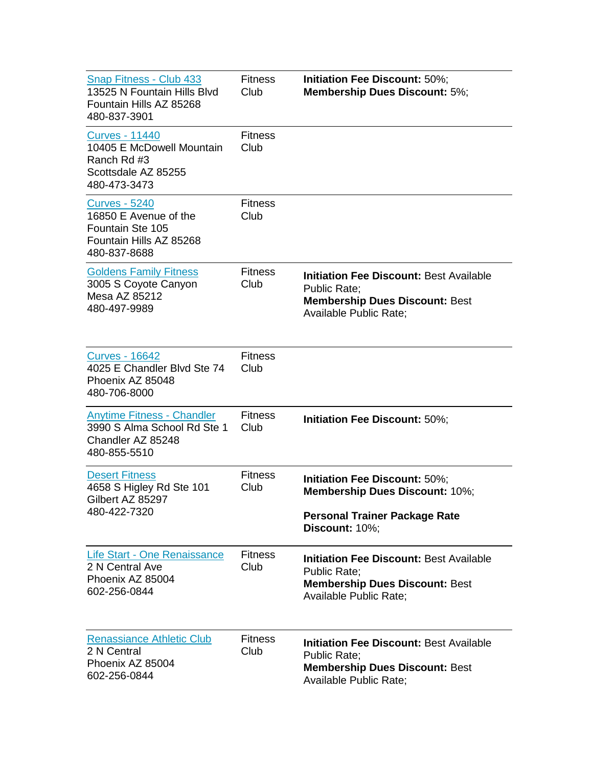| Snap Fitness - Club 433<br>13525 N Fountain Hills Blvd<br>Fountain Hills AZ 85268<br>480-837-3901            | <b>Fitness</b><br>Club | Initiation Fee Discount: 50%;<br><b>Membership Dues Discount: 5%;</b>                                                                           |
|--------------------------------------------------------------------------------------------------------------|------------------------|-------------------------------------------------------------------------------------------------------------------------------------------------|
| <b>Curves - 11440</b><br>10405 E McDowell Mountain<br>Ranch Rd #3<br>Scottsdale AZ 85255<br>480-473-3473     | <b>Fitness</b><br>Club |                                                                                                                                                 |
| <b>Curves - 5240</b><br>16850 E Avenue of the<br>Fountain Ste 105<br>Fountain Hills AZ 85268<br>480-837-8688 | <b>Fitness</b><br>Club |                                                                                                                                                 |
| <b>Goldens Family Fitness</b><br>3005 S Coyote Canyon<br>Mesa AZ 85212<br>480-497-9989                       | <b>Fitness</b><br>Club | <b>Initiation Fee Discount: Best Available</b><br><b>Public Rate:</b><br><b>Membership Dues Discount: Best</b><br><b>Available Public Rate:</b> |
| <u>Curves - 16642</u><br>4025 E Chandler Blvd Ste 74<br>Phoenix AZ 85048<br>480-706-8000                     | <b>Fitness</b><br>Club |                                                                                                                                                 |
| <b>Anytime Fitness - Chandler</b><br>3990 S Alma School Rd Ste 1<br>Chandler AZ 85248<br>480-855-5510        | <b>Fitness</b><br>Club | Initiation Fee Discount: 50%;                                                                                                                   |
| <b>Desert Fitness</b><br>4658 S Higley Rd Ste 101<br>Gilbert AZ 85297<br>480-422-7320                        | <b>Fitness</b><br>Club | Initiation Fee Discount: 50%;<br><b>Membership Dues Discount: 10%;</b><br><b>Personal Trainer Package Rate</b><br>Discount: 10%;                |
| Life Start - One Renaissance<br>2 N Central Ave<br>Phoenix AZ 85004<br>602-256-0844                          | <b>Fitness</b><br>Club | <b>Initiation Fee Discount: Best Available</b><br><b>Public Rate:</b><br><b>Membership Dues Discount: Best</b><br>Available Public Rate;        |
| <b>Renassiance Athletic Club</b><br>2 N Central<br>Phoenix AZ 85004<br>602-256-0844                          | <b>Fitness</b><br>Club | <b>Initiation Fee Discount: Best Available</b><br><b>Public Rate:</b><br><b>Membership Dues Discount: Best</b><br>Available Public Rate;        |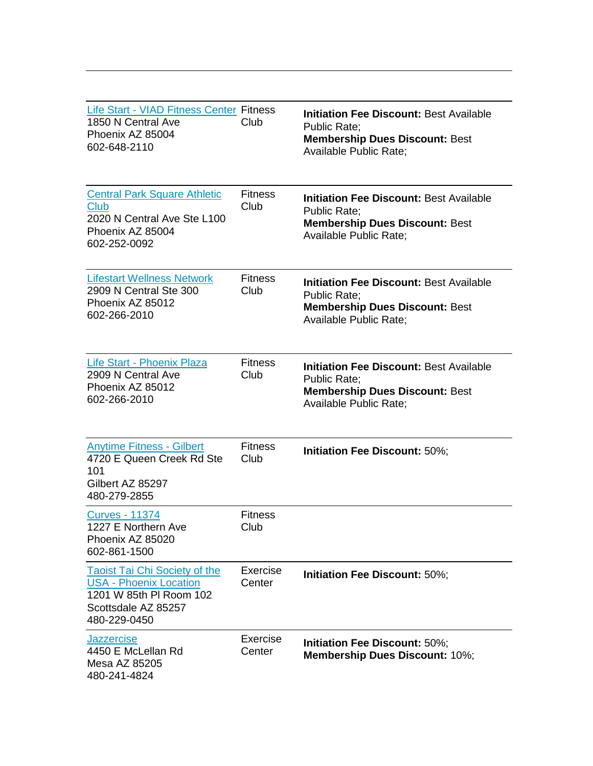| <b>Life Start - VIAD Fitness Center Fitness</b><br>1850 N Central Ave<br>Phoenix AZ 85004<br>602-648-2110                               | Club                    | <b>Initiation Fee Discount: Best Available</b><br><b>Public Rate:</b><br><b>Membership Dues Discount: Best</b><br><b>Available Public Rate;</b> |
|-----------------------------------------------------------------------------------------------------------------------------------------|-------------------------|-------------------------------------------------------------------------------------------------------------------------------------------------|
| <b>Central Park Square Athletic</b><br>Club<br>2020 N Central Ave Ste L100<br>Phoenix AZ 85004<br>602-252-0092                          | <b>Fitness</b><br>Club  | <b>Initiation Fee Discount: Best Available</b><br><b>Public Rate:</b><br><b>Membership Dues Discount: Best</b><br><b>Available Public Rate:</b> |
| <b>Lifestart Wellness Network</b><br>2909 N Central Ste 300<br>Phoenix AZ 85012<br>602-266-2010                                         | <b>Fitness</b><br>Club  | <b>Initiation Fee Discount: Best Available</b><br><b>Public Rate:</b><br><b>Membership Dues Discount: Best</b><br>Available Public Rate;        |
| Life Start - Phoenix Plaza<br>2909 N Central Ave<br>Phoenix AZ 85012<br>602-266-2010                                                    | <b>Fitness</b><br>Club  | <b>Initiation Fee Discount: Best Available</b><br>Public Rate;<br><b>Membership Dues Discount: Best</b><br>Available Public Rate;               |
| <b>Anytime Fitness - Gilbert</b><br>4720 E Queen Creek Rd Ste<br>101<br>Gilbert AZ 85297<br>480-279-2855                                | <b>Fitness</b><br>Club  | Initiation Fee Discount: 50%;                                                                                                                   |
| <b>Curves - 11374</b><br>1227 E Northern Ave<br>Phoenix AZ 85020<br>602-861-1500                                                        | <b>Fitness</b><br>Club. |                                                                                                                                                 |
| <b>Taoist Tai Chi Society of the</b><br><b>USA - Phoenix Location</b><br>1201 W 85th PI Room 102<br>Scottsdale AZ 85257<br>480-229-0450 | Exercise<br>Center      | Initiation Fee Discount: 50%;                                                                                                                   |
| <b>Jazzercise</b><br>4450 E McLellan Rd<br>Mesa AZ 85205<br>480-241-4824                                                                | Exercise<br>Center      | Initiation Fee Discount: 50%;<br><b>Membership Dues Discount: 10%;</b>                                                                          |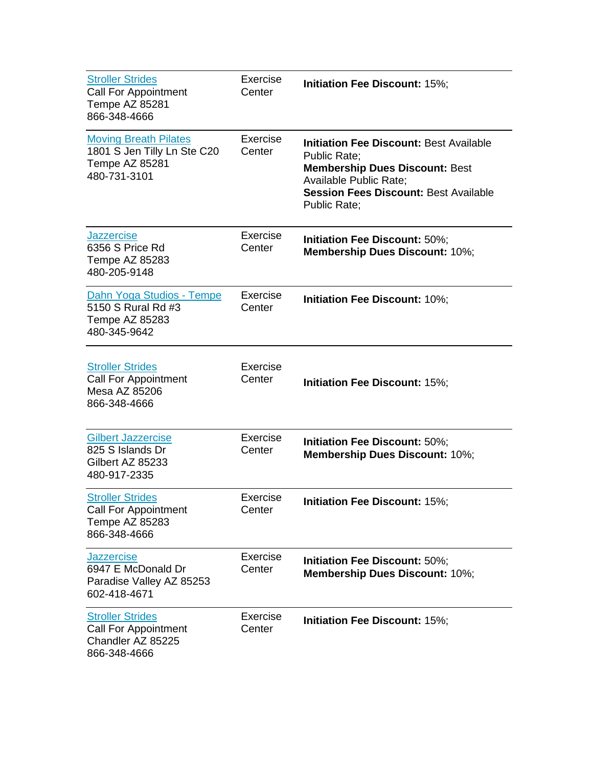| <b>Stroller Strides</b><br><b>Call For Appointment</b><br>Tempe AZ 85281<br>866-348-4666      | Exercise<br>Center | Initiation Fee Discount: 15%;                                                                                                                                                                                          |
|-----------------------------------------------------------------------------------------------|--------------------|------------------------------------------------------------------------------------------------------------------------------------------------------------------------------------------------------------------------|
| <b>Moving Breath Pilates</b><br>1801 S Jen Tilly Ln Ste C20<br>Tempe AZ 85281<br>480-731-3101 | Exercise<br>Center | <b>Initiation Fee Discount: Best Available</b><br><b>Public Rate:</b><br><b>Membership Dues Discount: Best</b><br><b>Available Public Rate;</b><br><b>Session Fees Discount: Best Available</b><br><b>Public Rate:</b> |
| <b>Jazzercise</b><br>6356 S Price Rd<br>Tempe AZ 85283<br>480-205-9148                        | Exercise<br>Center | Initiation Fee Discount: 50%;<br><b>Membership Dues Discount: 10%;</b>                                                                                                                                                 |
| Dahn Yoga Studios - Tempe<br>5150 S Rural Rd #3<br>Tempe AZ 85283<br>480-345-9642             | Exercise<br>Center | Initiation Fee Discount: 10%;                                                                                                                                                                                          |
| <b>Stroller Strides</b><br><b>Call For Appointment</b><br>Mesa AZ 85206<br>866-348-4666       | Exercise<br>Center | <b>Initiation Fee Discount: 15%;</b>                                                                                                                                                                                   |
| <b>Gilbert Jazzercise</b><br>825 S Islands Dr<br>Gilbert AZ 85233<br>480-917-2335             | Exercise<br>Center | Initiation Fee Discount: 50%;<br><b>Membership Dues Discount: 10%;</b>                                                                                                                                                 |
| <b>Stroller Strides</b><br><b>Call For Appointment</b><br>Tempe AZ 85283<br>866-348-4666      | Exercise<br>Center | <b>Initiation Fee Discount: 15%;</b>                                                                                                                                                                                   |
| <b>Jazzercise</b><br>6947 E McDonald Dr<br>Paradise Valley AZ 85253<br>602-418-4671           | Exercise<br>Center | Initiation Fee Discount: 50%;<br><b>Membership Dues Discount: 10%;</b>                                                                                                                                                 |
| <b>Stroller Strides</b><br><b>Call For Appointment</b><br>Chandler AZ 85225<br>866-348-4666   | Exercise<br>Center | Initiation Fee Discount: 15%;                                                                                                                                                                                          |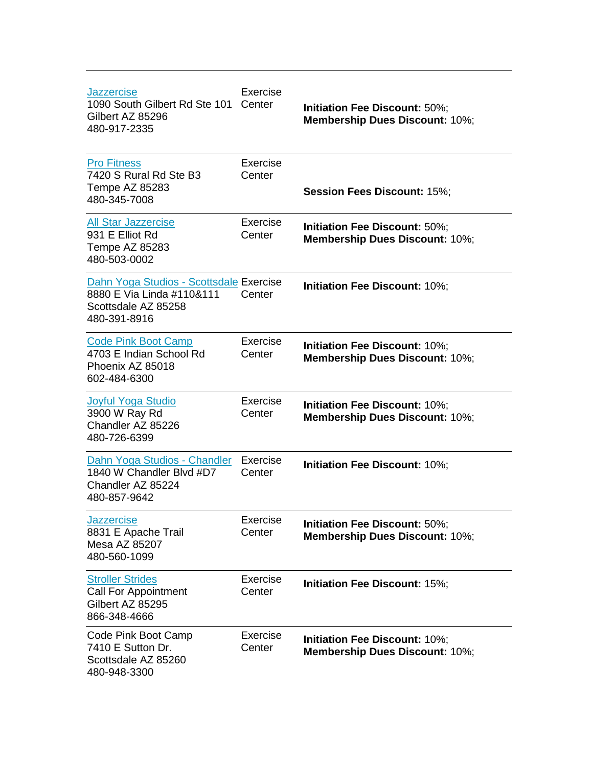| <b>Jazzercise</b><br>1090 South Gilbert Rd Ste 101<br>Gilbert AZ 85296<br>480-917-2335                      | Exercise<br>Center | Initiation Fee Discount: 50%;<br>Membership Dues Discount: 10%;        |
|-------------------------------------------------------------------------------------------------------------|--------------------|------------------------------------------------------------------------|
| <b>Pro Fitness</b><br>7420 S Rural Rd Ste B3<br>Tempe AZ 85283<br>480-345-7008                              | Exercise<br>Center | <b>Session Fees Discount: 15%;</b>                                     |
| <b>All Star Jazzercise</b><br>931 E Elliot Rd<br>Tempe AZ 85283<br>480-503-0002                             | Exercise<br>Center | Initiation Fee Discount: 50%;<br>Membership Dues Discount: 10%;        |
| Dahn Yoga Studios - Scottsdale Exercise<br>8880 E Via Linda #110&111<br>Scottsdale AZ 85258<br>480-391-8916 | Center             | Initiation Fee Discount: 10%;                                          |
| <b>Code Pink Boot Camp</b><br>4703 E Indian School Rd<br>Phoenix AZ 85018<br>602-484-6300                   | Exercise<br>Center | Initiation Fee Discount: 10%;<br><b>Membership Dues Discount: 10%;</b> |
| <b>Joyful Yoga Studio</b><br>3900 W Ray Rd<br>Chandler AZ 85226<br>480-726-6399                             | Exercise<br>Center | Initiation Fee Discount: 10%;<br>Membership Dues Discount: 10%;        |
| Dahn Yoga Studios - Chandler<br>1840 W Chandler Blvd #D7<br>Chandler AZ 85224<br>480-857-9642               | Exercise<br>Center | Initiation Fee Discount: 10%;                                          |
| <b>Jazzercise</b><br>8831 E Apache Trail<br>Mesa AZ 85207<br>480-560-1099                                   | Exercise<br>Center | Initiation Fee Discount: 50%;<br>Membership Dues Discount: 10%;        |
| <b>Stroller Strides</b><br><b>Call For Appointment</b><br>Gilbert AZ 85295<br>866-348-4666                  | Exercise<br>Center | Initiation Fee Discount: 15%;                                          |
| Code Pink Boot Camp<br>7410 E Sutton Dr.<br>Scottsdale AZ 85260<br>480-948-3300                             | Exercise<br>Center | Initiation Fee Discount: 10%;<br><b>Membership Dues Discount: 10%;</b> |